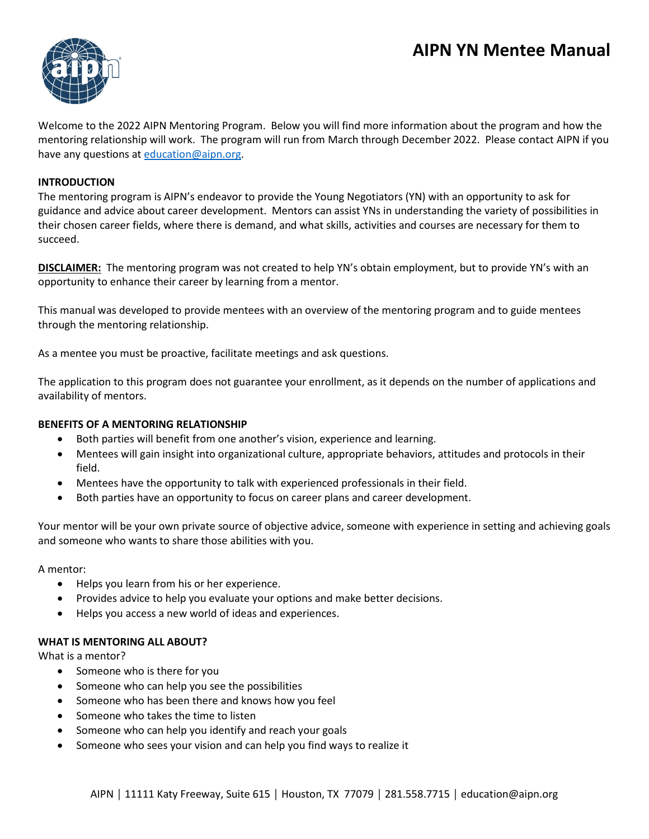# **AIPN YN Mentee Manual**



Welcome to the 2022 AIPN Mentoring Program. Below you will find more information about the program and how the mentoring relationship will work. The program will run from March through December 2022. Please contact AIPN if you have any questions at [education@aipn.org.](mailto:education@aipn.org)

#### **INTRODUCTION**

The mentoring program is AIPN's endeavor to provide the Young Negotiators (YN) with an opportunity to ask for guidance and advice about career development. Mentors can assist YNs in understanding the variety of possibilities in their chosen career fields, where there is demand, and what skills, activities and courses are necessary for them to succeed.

**DISCLAIMER:** The mentoring program was not created to help YN's obtain employment, but to provide YN's with an opportunity to enhance their career by learning from a mentor.

This manual was developed to provide mentees with an overview of the mentoring program and to guide mentees through the mentoring relationship.

As a mentee you must be proactive, facilitate meetings and ask questions.

The application to this program does not guarantee your enrollment, as it depends on the number of applications and availability of mentors.

#### **BENEFITS OF A MENTORING RELATIONSHIP**

- Both parties will benefit from one another's vision, experience and learning.
- Mentees will gain insight into organizational culture, appropriate behaviors, attitudes and protocols in their field.
- Mentees have the opportunity to talk with experienced professionals in their field.
- Both parties have an opportunity to focus on career plans and career development.

Your mentor will be your own private source of objective advice, someone with experience in setting and achieving goals and someone who wants to share those abilities with you.

A mentor:

- Helps you learn from his or her experience.
- Provides advice to help you evaluate your options and make better decisions.
- Helps you access a new world of ideas and experiences.

#### **WHAT IS MENTORING ALL ABOUT?**

What is a mentor?

- Someone who is there for you
- Someone who can help you see the possibilities
- Someone who has been there and knows how you feel
- Someone who takes the time to listen
- Someone who can help you identify and reach your goals
- Someone who sees your vision and can help you find ways to realize it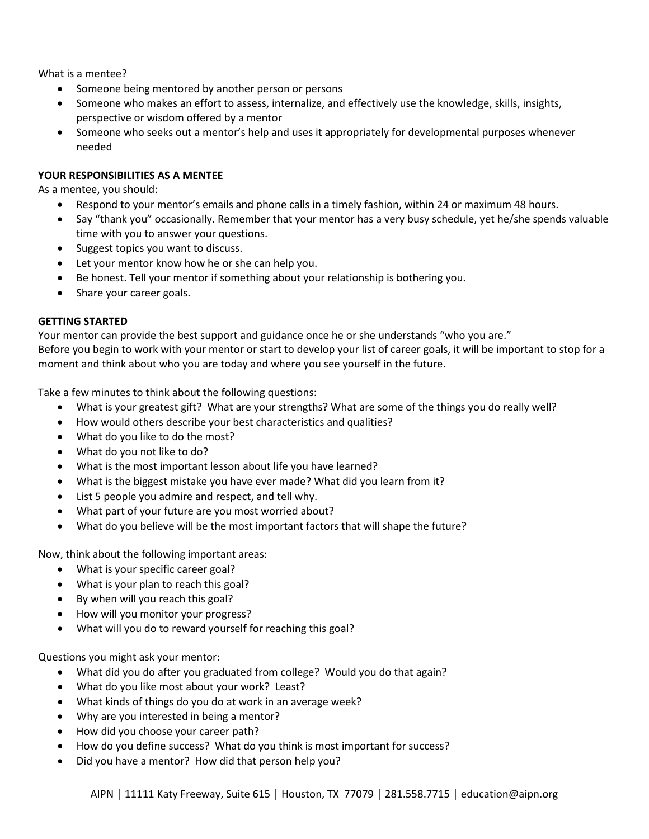What is a mentee?

- Someone being mentored by another person or persons
- Someone who makes an effort to assess, internalize, and effectively use the knowledge, skills, insights, perspective or wisdom offered by a mentor
- Someone who seeks out a mentor's help and uses it appropriately for developmental purposes whenever needed

# **YOUR RESPONSIBILITIES AS A MENTEE**

As a mentee, you should:

- Respond to your mentor's emails and phone calls in a timely fashion, within 24 or maximum 48 hours.
- Say "thank you" occasionally. Remember that your mentor has a very busy schedule, yet he/she spends valuable time with you to answer your questions.
- Suggest topics you want to discuss.
- Let your mentor know how he or she can help you.
- Be honest. Tell your mentor if something about your relationship is bothering you.
- Share your career goals.

## **GETTING STARTED**

Your mentor can provide the best support and guidance once he or she understands "who you are." Before you begin to work with your mentor or start to develop your list of career goals, it will be important to stop for a moment and think about who you are today and where you see yourself in the future.

Take a few minutes to think about the following questions:

- What is your greatest gift? What are your strengths? What are some of the things you do really well?
- How would others describe your best characteristics and qualities?
- What do you like to do the most?
- What do you not like to do?
- What is the most important lesson about life you have learned?
- What is the biggest mistake you have ever made? What did you learn from it?
- List 5 people you admire and respect, and tell why.
- What part of your future are you most worried about?
- What do you believe will be the most important factors that will shape the future?

Now, think about the following important areas:

- What is your specific career goal?
- What is your plan to reach this goal?
- By when will you reach this goal?
- How will you monitor your progress?
- What will you do to reward yourself for reaching this goal?

Questions you might ask your mentor:

- What did you do after you graduated from college? Would you do that again?
- What do you like most about your work? Least?
- What kinds of things do you do at work in an average week?
- Why are you interested in being a mentor?
- How did you choose your career path?
- How do you define success? What do you think is most important for success?
- Did you have a mentor? How did that person help you?